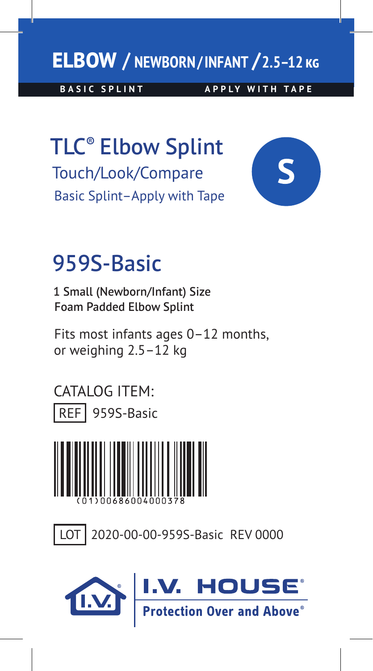## **ELBOW / NEWBORN/INFANT /2.5–12**

**BASIC SPLINT APPLY WITH TAPE** 

TLC® Elbow Splint Touch/Look/Compare Basic Splint–Apply with Tape



## 959S-Basic

1 Small (Newborn/Infant) Size Foam Padded Elbow Splint

Fits most infants ages 0–12 months, or weighing 2.5–12 kg





LOT 2020-00-00-959S-Basic REV 0000